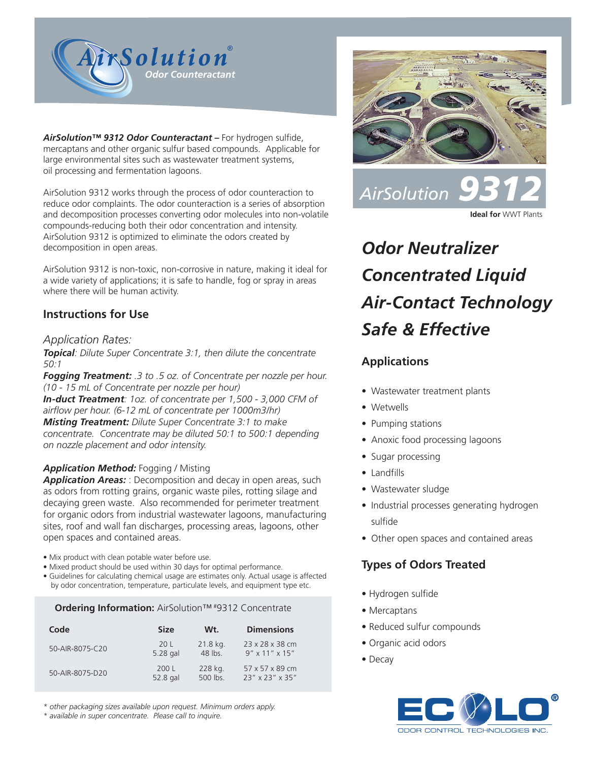

*AirSolution™ 9312 Odor Counteractant –* For hydrogen sulfide, mercaptans and other organic sulfur based compounds. Applicable for large environmental sites such as wastewater treatment systems, oil processing and fermentation lagoons.

AirSolution 9312 works through the process of odor counteraction to reduce odor complaints. The odor counteraction is a series of absorption and decomposition processes converting odor molecules into non-volatile compounds-reducing both their odor concentration and intensity. AirSolution 9312 is optimized to eliminate the odors created by decomposition in open areas.

AirSolution 9312 is non-toxic, non-corrosive in nature, making it ideal for a wide variety of applications; it is safe to handle, fog or spray in areas where there will be human activity.

# **Instructions for Use**

# *Application Rates:*

*Topical: Dilute Super Concentrate 3:1, then dilute the concentrate 50:1*

*Fogging Treatment: .3 to .5 oz. of Concentrate per nozzle per hour. (10 - 15 mL of Concentrate per nozzle per hour) In-duct Treatment: 1oz. of concentrate per 1,500 - 3,000 CFM of airflow per hour. (6-12 mL of concentrate per 1000m3/hr) Misting Treatment: Dilute Super Concentrate 3:1 to make concentrate. Concentrate may be diluted 50:1 to 500:1 depending on nozzle placement and odor intensity.*

# *Application Method:* Fogging / Misting

*Application Areas:* : Decomposition and decay in open areas, such as odors from rotting grains, organic waste piles, rotting silage and decaying green waste. Also recommended for perimeter treatment for organic odors from industrial wastewater lagoons, manufacturing sites, roof and wall fan discharges, processing areas, lagoons, other open spaces and contained areas.

• Mix product with clean potable water before use.

- Mixed product should be used within 30 days for optimal performance.
- Guidelines for calculating chemical usage are estimates only. Actual usage is affected by odor concentration, temperature, particulate levels, and equipment type etc.

### **Ordering Information: AirSolution™ #9312 Concentrate**

| Code            | <b>Size</b> | W <sub>t.</sub> | <b>Dimensions</b> |
|-----------------|-------------|-----------------|-------------------|
| 50-AIR-8075-C20 | 20 L        | 21.8 kg.        | 23 x 28 x 38 cm   |
|                 | 5.28 gal    | 48 lbs.         | $9''$ x 11" x 15" |
| 50-AIR-8075-D20 | 200L        | 228 kg.         | 57 x 57 x 89 cm   |
|                 | 52.8 gal    | 500 lbs.        | 23" x 23" x 35"   |

*\* other packaging sizes available upon request. Minimum orders apply.*

*\* available in super concentrate. Please call to inquire.*



# $AirSolution$

**Ideal for** WWT Plants

# *Odor Neutralizer Concentrated Liquid Air-Contact Technology Safe & Effective*

# **Applications**

- Wastewater treatment plants
- Wetwells
- Pumping stations
- Anoxic food processing lagoons
- Sugar processing
- Landfills
- Wastewater sludge
- Industrial processes generating hydrogen sulfide
- Other open spaces and contained areas

# **Types of Odors Treated**

- Hydrogen sulfide
- Mercaptans
- Reduced sulfur compounds
- Organic acid odors
- Decay